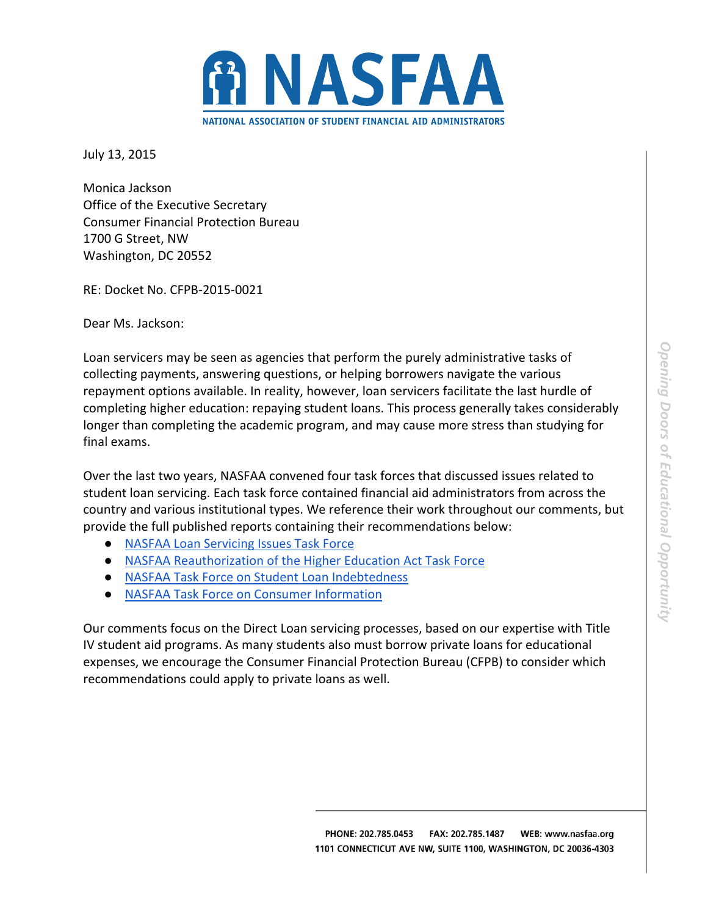

July 13, 2015

Monica Jackson Office of the Executive Secretary Consumer Financial Protection Bureau 1700 G Street, NW Washington, DC 20552

RE: Docket No. CFPB‐2015‐0021

Dear Ms. Jackson:

Loan servicers may be seen as agencies that perform the purely administrative tasks of collecting payments, answering questions, or helping borrowers navigate the various repayment options available. In reality, however, loan servicers facilitate the last hurdle of completing higher education: repaying student loans. This process generally takes considerably longer than completing the academic program, and may cause more stress than studying for final exams.

Over the last two years, NASFAA convened four task forces that discussed issues related to student loan servicing. Each task force contained financial aid administrators from across the country and various institutional types. We reference their work throughout our comments, but provide the full published reports containing their recommendations below:

- NASFAA Loan Servicing Issues Task Force
- NASFAA Reauthorization of the Higher Education Act Task Force
- NASFAA Task Force on Student Loan Indebtedness
- NASFAA Task Force on Consumer Information

Our comments focus on the Direct Loan servicing processes, based on our expertise with Title IV student aid programs. As many students also must borrow private loans for educational expenses, we encourage the Consumer Financial Protection Bureau (CFPB) to consider which recommendations could apply to private loans as well.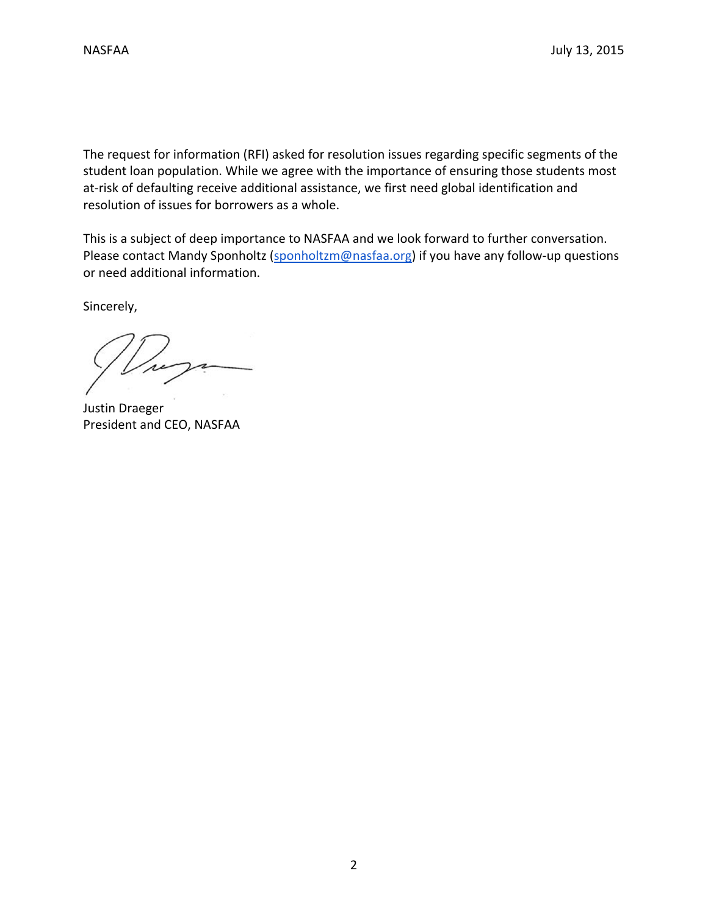The request for information (RFI) asked for resolution issues regarding specific segments of the student loan population. While we agree with the importance of ensuring those students most at-risk of defaulting receive additional assistance, we first need global identification and resolution of issues for borrowers as a whole.

This is a subject of deep importance to NASFAA and we look forward to further conversation. Please contact Mandy Sponholtz (sponholtzm@nasfaa.org) if you have any follow-up questions or need additional information.

Sincerely,

Justin Draeger President and CEO, NASFAA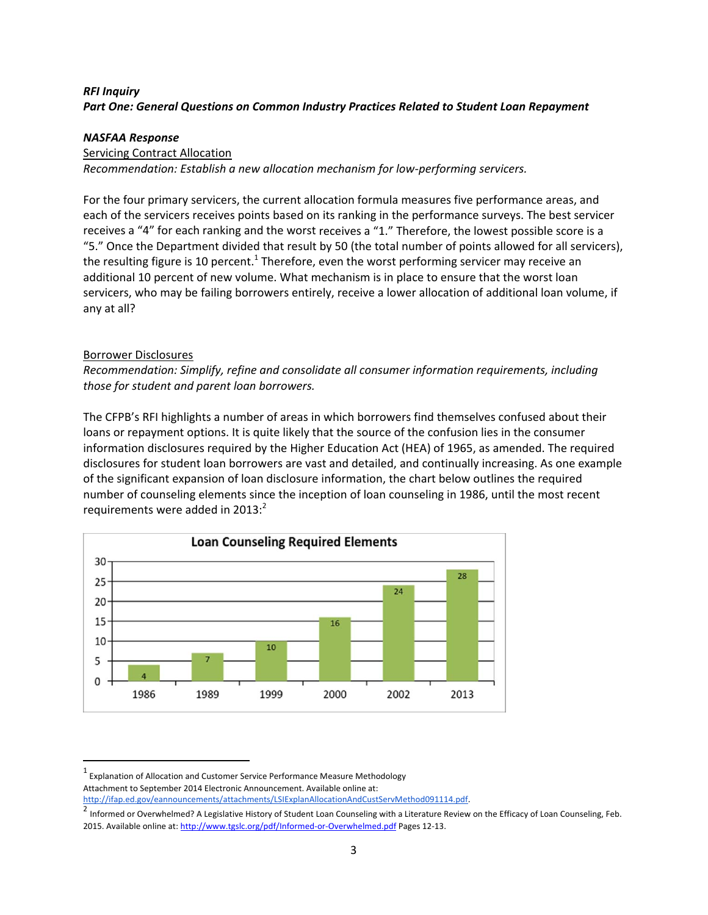## *RFI Inquiry Part One: General Questions on Common Industry Practices Related to Student Loan Repayment*

#### *NASFAA Response*

#### Servicing Contract Allocation

*Recommendation: Establish a new allocation mechanism for low‐performing servicers.*

For the four primary servicers, the current allocation formula measures five performance areas, and each of the servicers receives points based on its ranking in the performance surveys. The best servicer receives a "4" for each ranking and the worst receives a "1." Therefore, the lowest possible score is a "5." Once the Department divided that result by 50 (the total number of points allowed for all servicers), the resulting figure is 10 percent.<sup>1</sup> Therefore, even the worst performing servicer may receive an additional 10 percent of new volume. What mechanism is in place to ensure that the worst loan servicers, who may be failing borrowers entirely, receive a lower allocation of additional loan volume, if any at all?

### Borrower Disclosures

*Recommendation: Simplify, refine and consolidate all consumer information requirements, including those for student and parent loan borrowers.*

The CFPB's RFI highlights a number of areas in which borrowers find themselves confused about their loans or repayment options. It is quite likely that the source of the confusion lies in the consumer information disclosures required by the Higher Education Act (HEA) of 1965, as amended. The required disclosures for student loan borrowers are vast and detailed, and continually increasing. As one example of the significant expansion of loan disclosure information, the chart below outlines the required number of counseling elements since the inception of loan counseling in 1986, until the most recent requirements were added in 2013: $^2$ 



 $1$  Explanation of Allocation and Customer Service Performance Measure Methodology Attachment to September 2014 Electronic Announcement. Available online at: http://ifap.ed.gov/eannouncements/attachments/LSIExplanAllocationAndCustServMethod091114.pdf.

<sup>2</sup> Informed or Overwhelmed? A Legislative History of Student Loan Counseling with a Literature Review on the Efficacy of Loan Counseling, Feb. 2015. Available online at: http://www.tgslc.org/pdf/Informed-or-Overwhelmed.pdf Pages 12-13.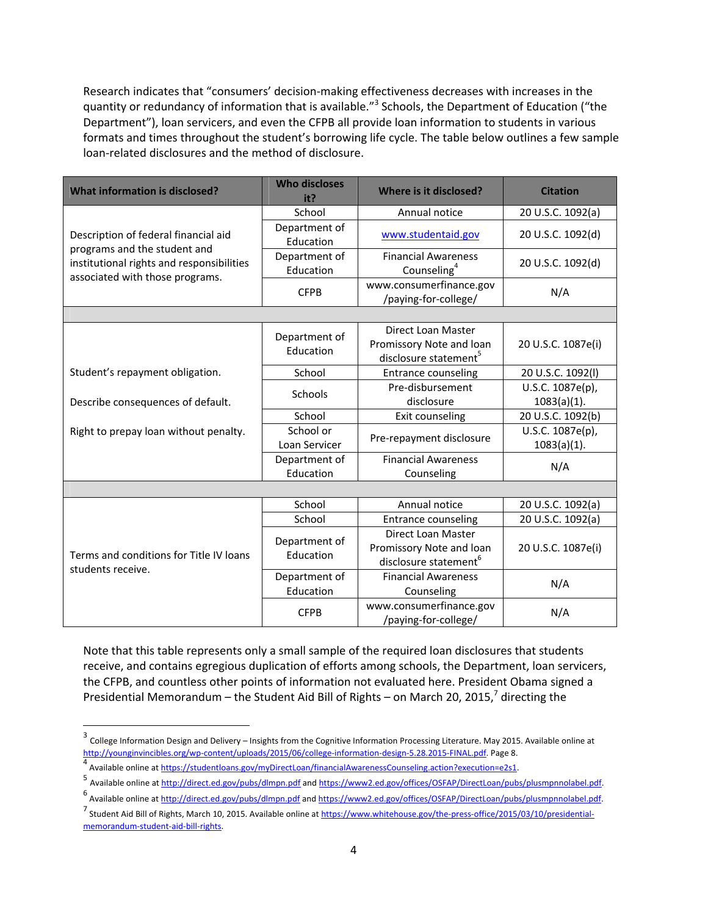Research indicates that "consumers' decision‐making effectiveness decreases with increases in the quantity or redundancy of information that is available."<sup>3</sup> Schools, the Department of Education ("the Department"), loan servicers, and even the CFPB all provide loan information to students in various formats and times throughout the student's borrowing life cycle. The table below outlines a few sample loan‐related disclosures and the method of disclosure.

| <b>What information is disclosed?</b>                                                                                                                | <b>Who discloses</b><br>it? | Where is it disclosed?                                                              | <b>Citation</b>                    |  |  |  |
|------------------------------------------------------------------------------------------------------------------------------------------------------|-----------------------------|-------------------------------------------------------------------------------------|------------------------------------|--|--|--|
|                                                                                                                                                      | School                      | Annual notice                                                                       | 20 U.S.C. 1092(a)                  |  |  |  |
| Description of federal financial aid<br>programs and the student and<br>institutional rights and responsibilities<br>associated with those programs. | Department of<br>Education  | www.studentaid.gov                                                                  | 20 U.S.C. 1092(d)                  |  |  |  |
|                                                                                                                                                      | Department of<br>Education  | <b>Financial Awareness</b><br>Counseling <sup>4</sup>                               | 20 U.S.C. 1092(d)                  |  |  |  |
|                                                                                                                                                      | <b>CFPB</b>                 | www.consumerfinance.gov<br>/paying-for-college/                                     | N/A                                |  |  |  |
|                                                                                                                                                      |                             |                                                                                     |                                    |  |  |  |
|                                                                                                                                                      | Department of<br>Education  | Direct Loan Master<br>Promissory Note and loan<br>disclosure statement <sup>5</sup> | 20 U.S.C. 1087e(i)                 |  |  |  |
| Student's repayment obligation.                                                                                                                      | School                      | <b>Entrance counseling</b>                                                          | 20 U.S.C. 1092(I)                  |  |  |  |
| Describe consequences of default.                                                                                                                    | Schools                     | Pre-disbursement<br>disclosure                                                      | U.S.C. 1087e(p),<br>$1083(a)(1)$ . |  |  |  |
|                                                                                                                                                      | School                      | Exit counseling                                                                     | 20 U.S.C. 1092(b)                  |  |  |  |
| Right to prepay loan without penalty.                                                                                                                | School or<br>Loan Servicer  | Pre-repayment disclosure                                                            | U.S.C. 1087e(p),<br>$1083(a)(1)$ . |  |  |  |
|                                                                                                                                                      | Department of<br>Education  | <b>Financial Awareness</b><br>Counseling                                            | N/A                                |  |  |  |
|                                                                                                                                                      |                             |                                                                                     |                                    |  |  |  |
|                                                                                                                                                      | School                      | Annual notice                                                                       | 20 U.S.C. 1092(a)                  |  |  |  |
|                                                                                                                                                      | School                      | <b>Entrance counseling</b>                                                          | 20 U.S.C. 1092(a)                  |  |  |  |
| Terms and conditions for Title IV loans<br>students receive.                                                                                         | Department of<br>Education  | Direct Loan Master<br>Promissory Note and loan<br>disclosure statement <sup>6</sup> | 20 U.S.C. 1087e(i)                 |  |  |  |
|                                                                                                                                                      | Department of<br>Education  | <b>Financial Awareness</b><br>Counseling                                            | N/A                                |  |  |  |
|                                                                                                                                                      | <b>CFPB</b>                 | www.consumerfinance.gov<br>/paying-for-college/                                     | N/A                                |  |  |  |

Note that this table represents only a small sample of the required loan disclosures that students receive, and contains egregious duplication of efforts among schools, the Department, loan servicers, the CFPB, and countless other points of information not evaluated here. President Obama signed a Presidential Memorandum – the Student Aid Bill of Rights – on March 20, 2015, $^7$  directing the

<sup>3</sup> College Information Design and Delivery – Insights from the Cognitive Information Processing Literature. May 2015. Available online at http://younginvincibles.org/wp-content/uploads/2015/06/college-information-design-5.28.2015-FINAL.pdf. Page 8.

<sup>4</sup> Available online at https://studentloans.gov/myDirectLoan/financialAwarenessCounseling.action?execution=e2s1.

<sup>5</sup> Available online at http://direct.ed.gov/pubs/dlmpn.pdf and https://www2.ed.gov/offices/OSFAP/DirectLoan/pubs/plusmpnnolabel.pdf.

<sup>6</sup> Available online at http://direct.ed.gov/pubs/dlmpn.pdf and https://www2.ed.gov/offices/OSFAP/DirectLoan/pubs/plusmpnnolabel.pdf.

<sup>7</sup> Student Aid Bill of Rights, March 10, 2015. Available online at https://www.whitehouse.gov/the-press-office/2015/03/10/presidentialmemorandum‐student‐aid‐bill‐rights.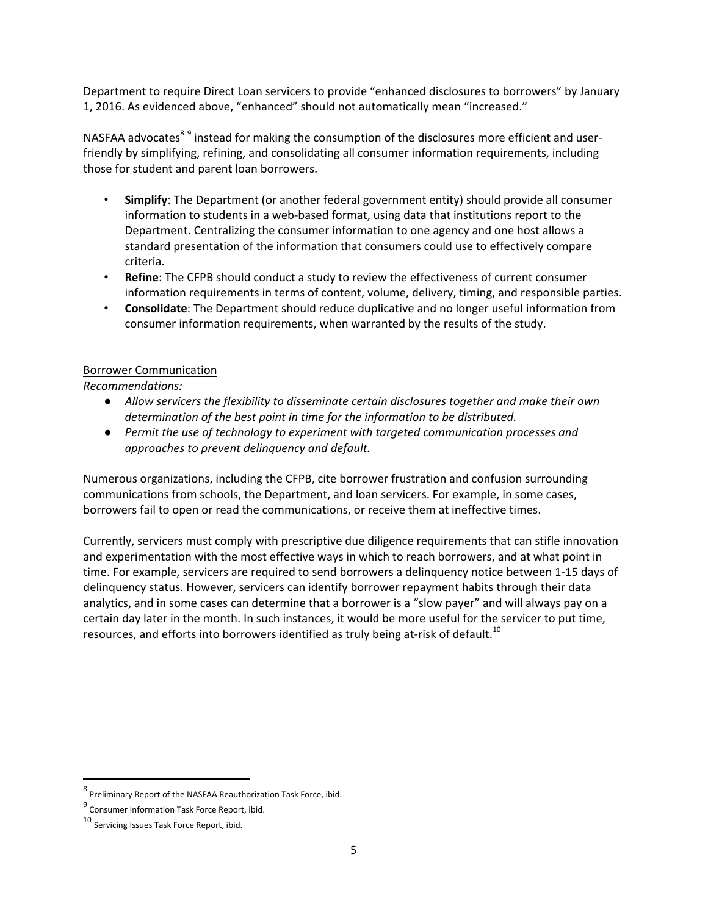Department to require Direct Loan servicers to provide "enhanced disclosures to borrowers" by January 1, 2016. As evidenced above, "enhanced" should not automatically mean "increased."

NASFAA advocates<sup>89</sup> instead for making the consumption of the disclosures more efficient and userfriendly by simplifying, refining, and consolidating all consumer information requirements, including those for student and parent loan borrowers.

- **Simplify**: The Department (or another federal government entity) should provide all consumer information to students in a web‐based format, using data that institutions report to the Department. Centralizing the consumer information to one agency and one host allows a standard presentation of the information that consumers could use to effectively compare criteria.
- **Refine**: The CFPB should conduct a study to review the effectiveness of current consumer information requirements in terms of content, volume, delivery, timing, and responsible parties.
- **Consolidate**: The Department should reduce duplicative and no longer useful information from consumer information requirements, when warranted by the results of the study.

### Borrower Communication

*Recommendations:*

- *Allow servicers the flexibility to disseminate certain disclosures together and make their own determination of the best point in time for the information to be distributed.*
- *Permit the use of technology to experiment with targeted communication processes and approaches to prevent delinquency and default.*

Numerous organizations, including the CFPB, cite borrower frustration and confusion surrounding communications from schools, the Department, and loan servicers. For example, in some cases, borrowers fail to open or read the communications, or receive them at ineffective times.

Currently, servicers must comply with prescriptive due diligence requirements that can stifle innovation and experimentation with the most effective ways in which to reach borrowers, and at what point in time. For example, servicers are required to send borrowers a delinquency notice between 1‐15 days of delinquency status. However, servicers can identify borrower repayment habits through their data analytics, and in some cases can determine that a borrower is a "slow payer" and will always pay on a certain day later in the month. In such instances, it would be more useful for the servicer to put time, resources, and efforts into borrowers identified as truly being at-risk of default.<sup>10</sup>

<sup>8</sup> Preliminary Report of the NASFAA Reauthorization Task Force, ibid.

<sup>9</sup> Consumer Information Task Force Report, ibid.

<sup>10</sup> Servicing Issues Task Force Report, ibid.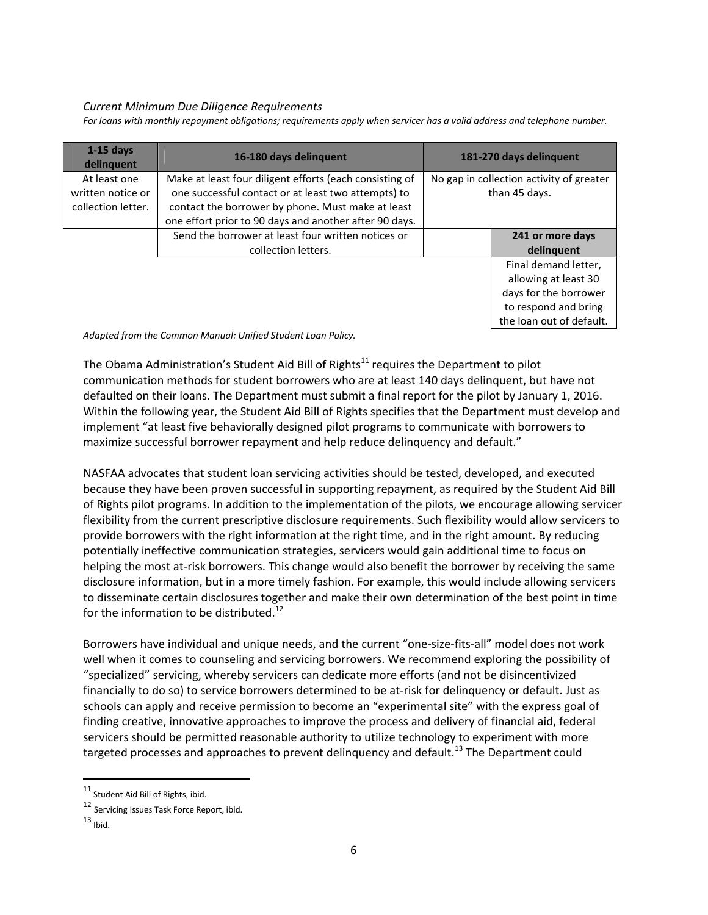#### *Current Minimum Due Diligence Requirements*

For loans with monthly repayment obligations; requirements apply when servicer has a valid address and telephone number.

| $1-15$ days<br>delinquent                               | 16-180 days delinquent                                                                                                                                                                                                        |                                                           | 181-270 days delinquent  |
|---------------------------------------------------------|-------------------------------------------------------------------------------------------------------------------------------------------------------------------------------------------------------------------------------|-----------------------------------------------------------|--------------------------|
| At least one<br>written notice or<br>collection letter. | Make at least four diligent efforts (each consisting of<br>one successful contact or at least two attempts) to<br>contact the borrower by phone. Must make at least<br>one effort prior to 90 days and another after 90 days. | No gap in collection activity of greater<br>than 45 days. |                          |
|                                                         | Send the borrower at least four written notices or                                                                                                                                                                            |                                                           | 241 or more days         |
|                                                         | collection letters.                                                                                                                                                                                                           |                                                           | delinguent               |
|                                                         |                                                                                                                                                                                                                               |                                                           | Final demand letter.     |
|                                                         |                                                                                                                                                                                                                               |                                                           | allowing at least 30     |
|                                                         |                                                                                                                                                                                                                               |                                                           | days for the borrower    |
|                                                         |                                                                                                                                                                                                                               |                                                           | to respond and bring     |
|                                                         |                                                                                                                                                                                                                               |                                                           | the loan out of default. |

*Adapted from the Common Manual: Unified Student Loan Policy.*

The Obama Administration's Student Aid Bill of Rights<sup>11</sup> requires the Department to pilot communication methods for student borrowers who are at least 140 days delinquent, but have not defaulted on their loans. The Department must submit a final report for the pilot by January 1, 2016. Within the following year, the Student Aid Bill of Rights specifies that the Department must develop and implement "at least five behaviorally designed pilot programs to communicate with borrowers to maximize successful borrower repayment and help reduce delinquency and default."

NASFAA advocates that student loan servicing activities should be tested, developed, and executed because they have been proven successful in supporting repayment, as required by the Student Aid Bill of Rights pilot programs. In addition to the implementation of the pilots, we encourage allowing servicer flexibility from the current prescriptive disclosure requirements. Such flexibility would allow servicers to provide borrowers with the right information at the right time, and in the right amount. By reducing potentially ineffective communication strategies, servicers would gain additional time to focus on helping the most at-risk borrowers. This change would also benefit the borrower by receiving the same disclosure information, but in a more timely fashion. For example, this would include allowing servicers to disseminate certain disclosures together and make their own determination of the best point in time for the information to be distributed.<sup>12</sup>

Borrowers have individual and unique needs, and the current "one‐size‐fits‐all" model does not work well when it comes to counseling and servicing borrowers. We recommend exploring the possibility of "specialized" servicing, whereby servicers can dedicate more efforts (and not be disincentivized financially to do so) to service borrowers determined to be at-risk for delinquency or default. Just as schools can apply and receive permission to become an "experimental site" with the express goal of finding creative, innovative approaches to improve the process and delivery of financial aid, federal servicers should be permitted reasonable authority to utilize technology to experiment with more targeted processes and approaches to prevent delinguency and default.<sup>13</sup> The Department could

<sup>11</sup> Student Aid Bill of Rights, ibid.

<sup>12</sup> Servicing Issues Task Force Report, ibid.

 $13$  Ibid.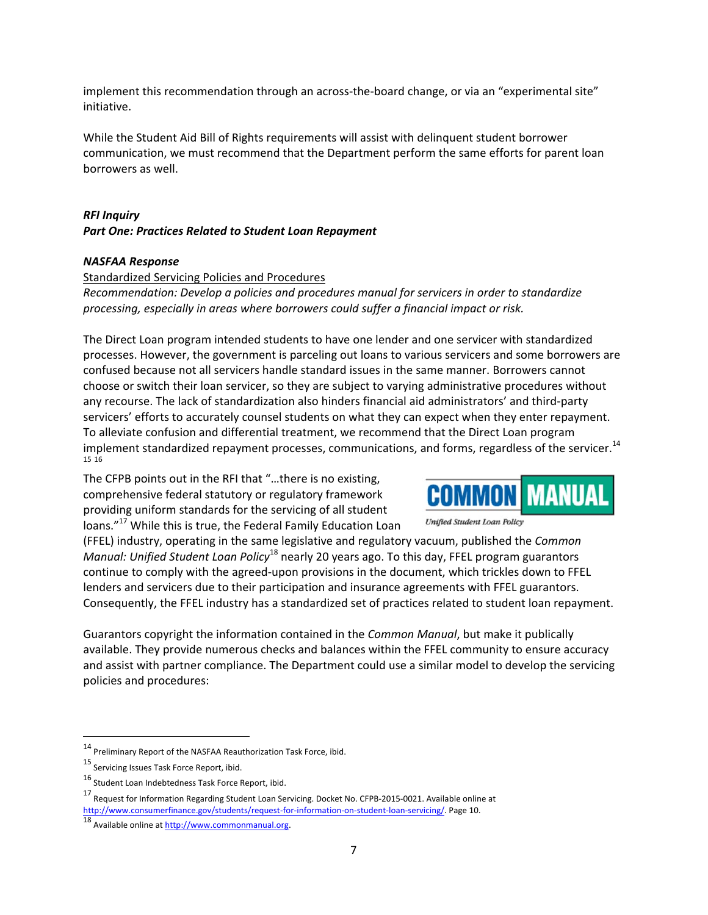implement this recommendation through an across-the-board change, or via an "experimental site" initiative.

While the Student Aid Bill of Rights requirements will assist with delinquent student borrower communication, we must recommend that the Department perform the same efforts for parent loan borrowers as well.

## *RFI Inquiry Part One: Practices Related to Student Loan Repayment*

### *NASFAA Response*

### Standardized Servicing Policies and Procedures

*Recommendation: Develop a policies and procedures manual for servicers in order to standardize processing, especially in areas where borrowers could suffer a financial impact or risk.*

The Direct Loan program intended students to have one lender and one servicer with standardized processes. However, the government is parceling out loans to various servicers and some borrowers are confused because not all servicers handle standard issues in the same manner. Borrowers cannot choose or switch their loan servicer, so they are subject to varying administrative procedures without any recourse. The lack of standardization also hinders financial aid administrators' and third‐party servicers' efforts to accurately counsel students on what they can expect when they enter repayment. To alleviate confusion and differential treatment, we recommend that the Direct Loan program implement standardized repayment processes, communications, and forms, regardless of the servicer.<sup>14</sup> 15 16

The CFPB points out in the RFI that "…there is no existing, comprehensive federal statutory or regulatory framework providing uniform standards for the servicing of all student loans."<sup>17</sup> While this is true, the Federal Family Education Loan

(FFEL) industry, operating in the same legislative and regulatory vacuum, published the *Common Manual: Unified Student Loan Policy*<sup>18</sup> nearly 20 years ago. To this day, FFEL program guarantors continue to comply with the agreed‐upon provisions in the document, which trickles down to FFEL lenders and servicers due to their participation and insurance agreements with FFEL guarantors. Consequently, the FFEL industry has a standardized set of practices related to student loan repayment.

Guarantors copyright the information contained in the *Common Manual*, but make it publically available. They provide numerous checks and balances within the FFEL community to ensure accuracy and assist with partner compliance. The Department could use a similar model to develop the servicing policies and procedures:



Unified Student Loan Policy

<sup>14</sup> Preliminary Report of the NASFAA Reauthorization Task Force, ibid.

<sup>15</sup> Servicing Issues Task Force Report, ibid.

<sup>16</sup> Student Loan Indebtedness Task Force Report, ibid.

<sup>17</sup> Request for Information Regarding Student Loan Servicing. Docket No. CFPB-2015-0021. Available online at http://www.consumerfinance.gov/students/request-for-information-on-student-loan-servicing/. Page 10.

<sup>18&</sup>lt;br>Available online at http://www.commonmanual.org.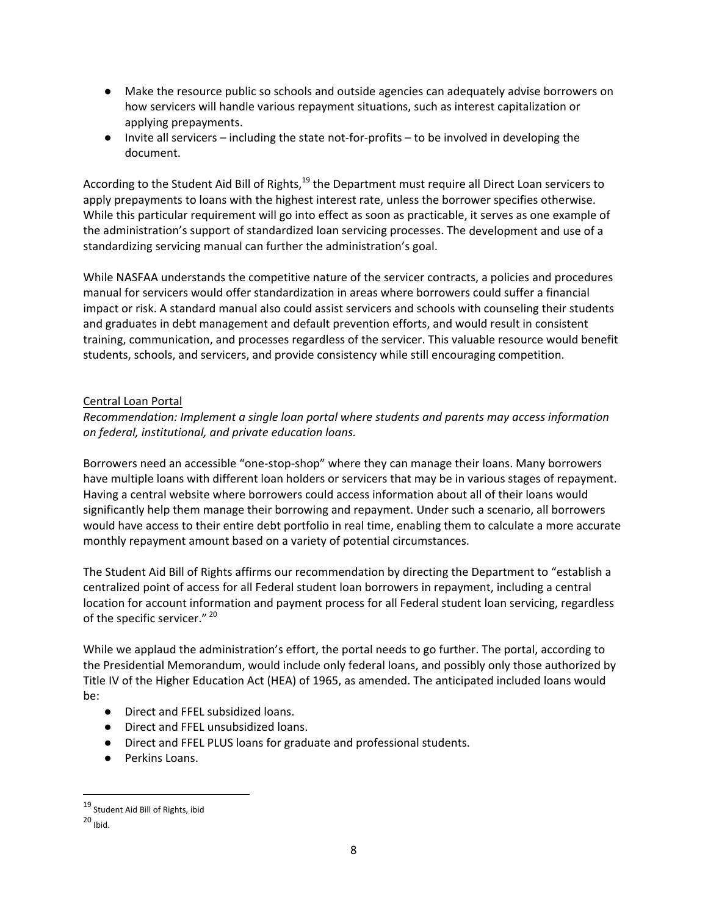- Make the resource public so schools and outside agencies can adequately advise borrowers on how servicers will handle various repayment situations, such as interest capitalization or applying prepayments.
- Invite all servicers including the state not-for-profits to be involved in developing the document.

According to the Student Aid Bill of Rights,<sup>19</sup> the Department must require all Direct Loan servicers to apply prepayments to loans with the highest interest rate, unless the borrower specifies otherwise. While this particular requirement will go into effect as soon as practicable, it serves as one example of the administration's support of standardized loan servicing processes. The development and use of a standardizing servicing manual can further the administration's goal.

While NASFAA understands the competitive nature of the servicer contracts, a policies and procedures manual for servicers would offer standardization in areas where borrowers could suffer a financial impact or risk. A standard manual also could assist servicers and schools with counseling their students and graduates in debt management and default prevention efforts, and would result in consistent training, communication, and processes regardless of the servicer. This valuable resource would benefit students, schools, and servicers, and provide consistency while still encouraging competition.

## Central Loan Portal

*Recommendation: Implement a single loan portal where students and parents may access information on federal, institutional, and private education loans.*

Borrowers need an accessible "one‐stop‐shop" where they can manage their loans. Many borrowers have multiple loans with different loan holders or servicers that may be in various stages of repayment. Having a central website where borrowers could access information about all of their loans would significantly help them manage their borrowing and repayment. Under such a scenario, all borrowers would have access to their entire debt portfolio in real time, enabling them to calculate a more accurate monthly repayment amount based on a variety of potential circumstances.

The Student Aid Bill of Rights affirms our recommendation by directing the Department to "establish a centralized point of access for all Federal student loan borrowers in repayment, including a central location for account information and payment process for all Federal student loan servicing, regardless of the specific servicer."<sup>20</sup>

While we applaud the administration's effort, the portal needs to go further. The portal, according to the Presidential Memorandum, would include only federal loans, and possibly only those authorized by Title IV of the Higher Education Act (HEA) of 1965, as amended. The anticipated included loans would be:

- Direct and FFEL subsidized loans.
- Direct and FFEL unsubsidized loans.
- Direct and FFEL PLUS loans for graduate and professional students.
- Perkins Loans.

<sup>19</sup> Student Aid Bill of Rights, ibid

<sup>20</sup> Ibid.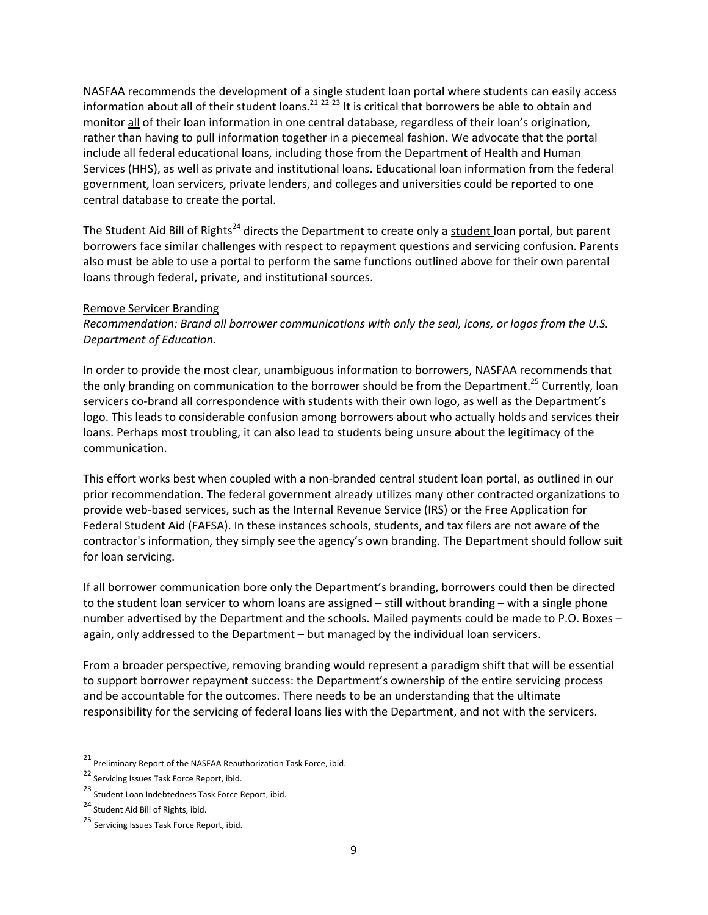NASFAA recommends the development of a single student loan portal where students can easily access information about all of their student loans.<sup>21 22 23</sup> It is critical that borrowers be able to obtain and monitor all of their loan information in one central database, regardless of their loan's origination, rather than having to pull information together in a piecemeal fashion. We advocate that the portal include all federal educational loans, including those from the Department of Health and Human Services (HHS), as well as private and institutional loans. Educational loan information from the federal government, loan servicers, private lenders, and colleges and universities could be reported to one central database to create the portal.

The Student Aid Bill of Rights<sup>24</sup> directs the Department to create only a student loan portal, but parent borrowers face similar challenges with respect to repayment questions and servicing confusion. Parents also must be able to use a portal to perform the same functions outlined above for their own parental loans through federal, private, and institutional sources.

#### Remove Servicer Branding

*Recommendation: Brand all borrower communications with only the seal, icons, or logos from the U.S. Department of Education.*

In order to provide the most clear, unambiguous information to borrowers, NASFAA recommends that the only branding on communication to the borrower should be from the Department.<sup>25</sup> Currently, loan servicers co-brand all correspondence with students with their own logo, as well as the Department's logo. This leads to considerable confusion among borrowers about who actually holds and services their loans. Perhaps most troubling, it can also lead to students being unsure about the legitimacy of the communication.

This effort works best when coupled with a non‐branded central student loan portal, as outlined in our prior recommendation. The federal government already utilizes many other contracted organizations to provide web‐based services, such as the Internal Revenue Service (IRS) or the Free Application for Federal Student Aid (FAFSA). In these instances schools, students, and tax filers are not aware of the contractor's information, they simply see the agency's own branding. The Department should follow suit for loan servicing.

If all borrower communication bore only the Department's branding, borrowers could then be directed to the student loan servicer to whom loans are assigned – still without branding – with a single phone number advertised by the Department and the schools. Mailed payments could be made to P.O. Boxes – again, only addressed to the Department – but managed by the individual loan servicers.

From a broader perspective, removing branding would represent a paradigm shift that will be essential to support borrower repayment success: the Department's ownership of the entire servicing process and be accountable for the outcomes. There needs to be an understanding that the ultimate responsibility for the servicing of federal loans lies with the Department, and not with the servicers.

<sup>21</sup> Preliminary Report of the NASFAA Reauthorization Task Force, ibid.

<sup>22</sup> Servicing Issues Task Force Report, ibid.

<sup>23</sup> Student Loan Indebtedness Task Force Report, ibid.

<sup>24</sup> Student Aid Bill of Rights, ibid.

<sup>25</sup> Servicing Issues Task Force Report, ibid.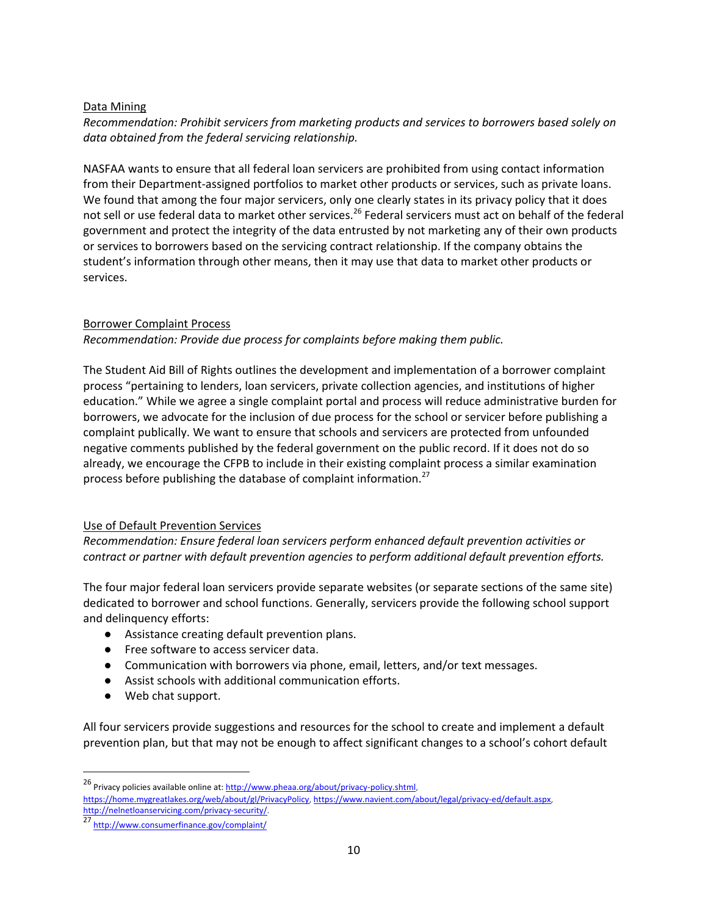### Data Mining

*Recommendation: Prohibit servicers from marketing products and services to borrowers based solely on data obtained from the federal servicing relationship.*

NASFAA wants to ensure that all federal loan servicers are prohibited from using contact information from their Department-assigned portfolios to market other products or services, such as private loans. We found that among the four major servicers, only one clearly states in its privacy policy that it does not sell or use federal data to market other services.<sup>26</sup> Federal servicers must act on behalf of the federal government and protect the integrity of the data entrusted by not marketing any of their own products or services to borrowers based on the servicing contract relationship. If the company obtains the student's information through other means, then it may use that data to market other products or services.

## Borrower Complaint Process

*Recommendation: Provide due process for complaints before making them public.*

The Student Aid Bill of Rights outlines the development and implementation of a borrower complaint process "pertaining to lenders, loan servicers, private collection agencies, and institutions of higher education." While we agree a single complaint portal and process will reduce administrative burden for borrowers, we advocate for the inclusion of due process for the school or servicer before publishing a complaint publically. We want to ensure that schools and servicers are protected from unfounded negative comments published by the federal government on the public record. If it does not do so already, we encourage the CFPB to include in their existing complaint process a similar examination process before publishing the database of complaint information.<sup>27</sup>

## Use of Default Prevention Services

*Recommendation: Ensure federal loan servicers perform enhanced default prevention activities or contract or partner with default prevention agencies to perform additional default prevention efforts.*

The four major federal loan servicers provide separate websites (or separate sections of the same site) dedicated to borrower and school functions. Generally, servicers provide the following school support and delinquency efforts:

- Assistance creating default prevention plans.
- Free software to access servicer data.
- Communication with borrowers via phone, email, letters, and/or text messages.
- Assist schools with additional communication efforts.
- Web chat support.

All four servicers provide suggestions and resources for the school to create and implement a default prevention plan, but that may not be enough to affect significant changes to a school's cohort default

<sup>26</sup> Privacy policies available online at: http://www.pheaa.org/about/privacy-policy.shtml, https://home.mygreatlakes.org/web/about/gl/PrivacyPolicy, https://www.navient.com/about/legal/privacy‐ed/default.aspx, http://nelnetloanservicing.com/privacy‐security/.

<sup>27</sup> http://www.consumerfinance.gov/complaint/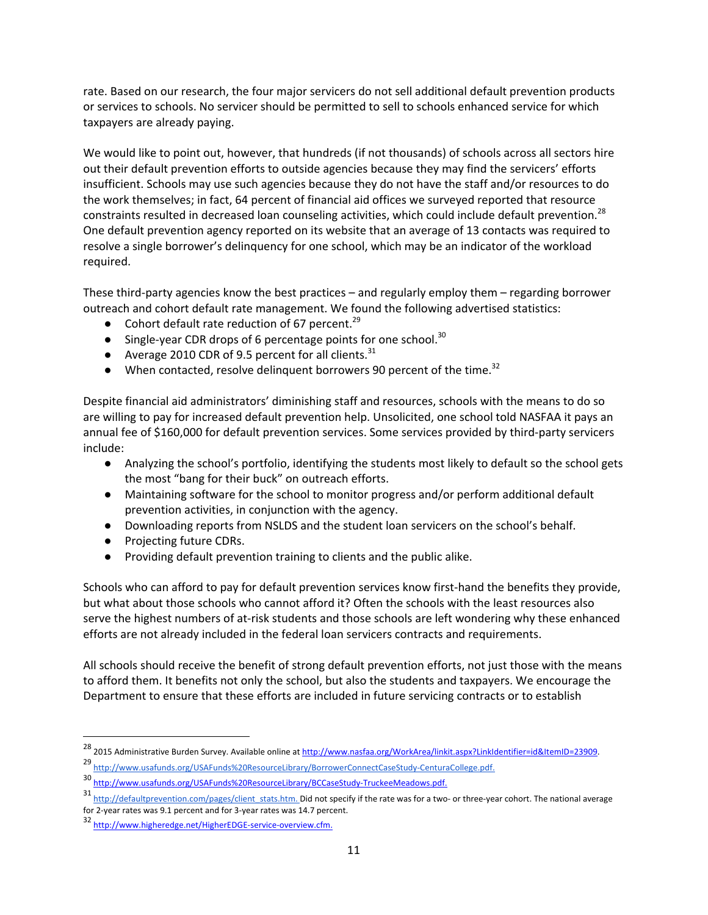rate. Based on our research, the four major servicers do not sell additional default prevention products or services to schools. No servicer should be permitted to sell to schools enhanced service for which taxpayers are already paying.

We would like to point out, however, that hundreds (if not thousands) of schools across all sectors hire out their default prevention efforts to outside agencies because they may find the servicers' efforts insufficient. Schools may use such agencies because they do not have the staff and/or resources to do the work themselves; in fact, 64 percent of financial aid offices we surveyed reported that resource constraints resulted in decreased loan counseling activities, which could include default prevention.<sup>28</sup> One default prevention agency reported on its website that an average of 13 contacts was required to resolve a single borrower's delinquency for one school, which may be an indicator of the workload required.

These third-party agencies know the best practices – and regularly employ them – regarding borrower outreach and cohort default rate management. We found the following advertised statistics:

- Cohort default rate reduction of 67 percent.<sup>29</sup>
- Single-year CDR drops of 6 percentage points for one school.<sup>30</sup>
- Average 2010 CDR of 9.5 percent for all clients.  $31$
- When contacted, resolve delinguent borrowers 90 percent of the time.<sup>32</sup>

Despite financial aid administrators' diminishing staff and resources, schools with the means to do so are willing to pay for increased default prevention help. Unsolicited, one school told NASFAA it pays an annual fee of \$160,000 for default prevention services. Some services provided by third-party servicers include:

- Analyzing the school's portfolio, identifying the students most likely to default so the school gets the most "bang for their buck" on outreach efforts.
- Maintaining software for the school to monitor progress and/or perform additional default prevention activities, in conjunction with the agency.
- Downloading reports from NSLDS and the student loan servicers on the school's behalf.
- Projecting future CDRs.

● Providing default prevention training to clients and the public alike.

Schools who can afford to pay for default prevention services know first-hand the benefits they provide, but what about those schools who cannot afford it? Often the schools with the least resources also serve the highest numbers of at‐risk students and those schools are left wondering why these enhanced efforts are not already included in the federal loan servicers contracts and requirements.

All schools should receive the benefit of strong default prevention efforts, not just those with the means to afford them. It benefits not only the school, but also the students and taxpayers. We encourage the Department to ensure that these efforts are included in future servicing contracts or to establish

<sup>&</sup>lt;sup>28</sup> 2015 Administrative Burden Survey. Available online at http://www.nasfaa.org/WorkArea/linkit.aspx?LinkIdentifier=id&ItemID=23909.

<sup>29</sup> http://www.usafunds.org/USAFunds%20ResourceLibrary/BorrowerConnectCaseStudy-CenturaCollege.pdf.

<sup>30</sup> http://www.usafunds.org/USAFunds%20ResourceLibrary/BCCaseStudy‐TruckeeMeadows.pdf.

<sup>31</sup> http://defaultprevention.com/pages/client stats.htm. Did not specify if the rate was for a two- or three-year cohort. The national average for 2‐year rates was 9.1 percent and for 3‐year rates was 14.7 percent.

<sup>32</sup> http://www.higheredge.net/HigherEDGE-service-overview.cfm.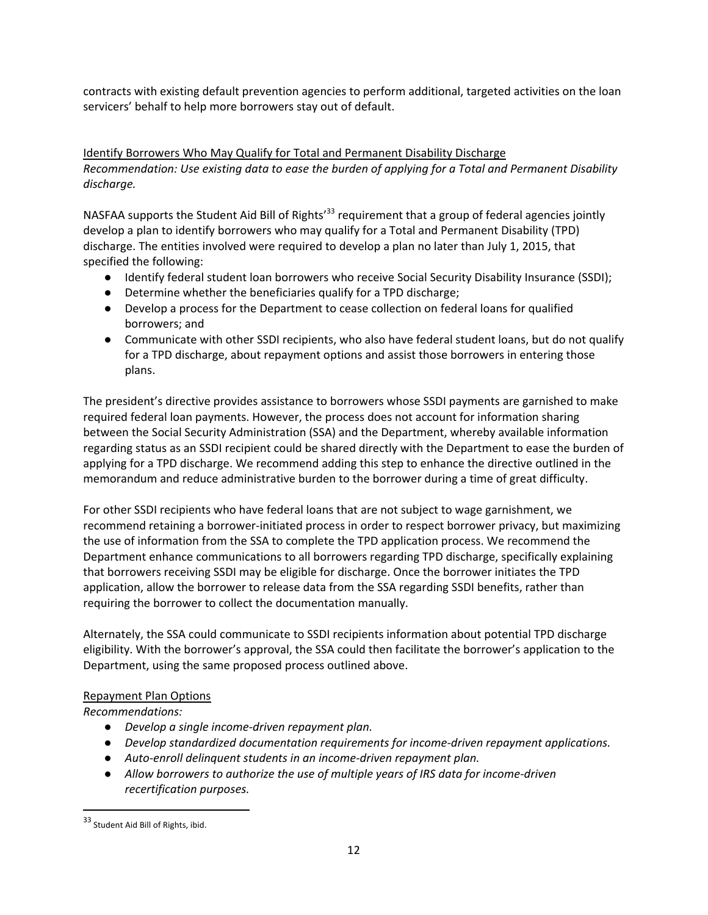contracts with existing default prevention agencies to perform additional, targeted activities on the loan servicers' behalf to help more borrowers stay out of default.

Identify Borrowers Who May Qualify for Total and Permanent Disability Discharge *Recommendation: Use existing data to ease the burden of applying for a Total and Permanent Disability discharge.*

NASFAA supports the Student Aid Bill of Rights<sup>33</sup> requirement that a group of federal agencies jointly develop a plan to identify borrowers who may qualify for a Total and Permanent Disability (TPD) discharge. The entities involved were required to develop a plan no later than July 1, 2015, that specified the following:

- Identify federal student loan borrowers who receive Social Security Disability Insurance (SSDI);
- Determine whether the beneficiaries qualify for a TPD discharge;
- Develop a process for the Department to cease collection on federal loans for qualified borrowers; and
- Communicate with other SSDI recipients, who also have federal student loans, but do not qualify for a TPD discharge, about repayment options and assist those borrowers in entering those plans.

The president's directive provides assistance to borrowers whose SSDI payments are garnished to make required federal loan payments. However, the process does not account for information sharing between the Social Security Administration (SSA) and the Department, whereby available information regarding status as an SSDI recipient could be shared directly with the Department to ease the burden of applying for a TPD discharge. We recommend adding this step to enhance the directive outlined in the memorandum and reduce administrative burden to the borrower during a time of great difficulty.

For other SSDI recipients who have federal loans that are not subject to wage garnishment, we recommend retaining a borrower‐initiated process in order to respect borrower privacy, but maximizing the use of information from the SSA to complete the TPD application process. We recommend the Department enhance communications to all borrowers regarding TPD discharge, specifically explaining that borrowers receiving SSDI may be eligible for discharge. Once the borrower initiates the TPD application, allow the borrower to release data from the SSA regarding SSDI benefits, rather than requiring the borrower to collect the documentation manually.

Alternately, the SSA could communicate to SSDI recipients information about potential TPD discharge eligibility. With the borrower's approval, the SSA could then facilitate the borrower's application to the Department, using the same proposed process outlined above.

### Repayment Plan Options

*Recommendations:*

- *Develop a single income‐driven repayment plan.*
- *Develop standardized documentation requirements for income‐driven repayment applications.*
- *Auto‐enroll delinquent students in an income‐driven repayment plan.*
- *Allow borrowers to authorize the use of multiple years of IRS data for income‐driven recertification purposes.*

<sup>33</sup> Student Aid Bill of Rights, ibid.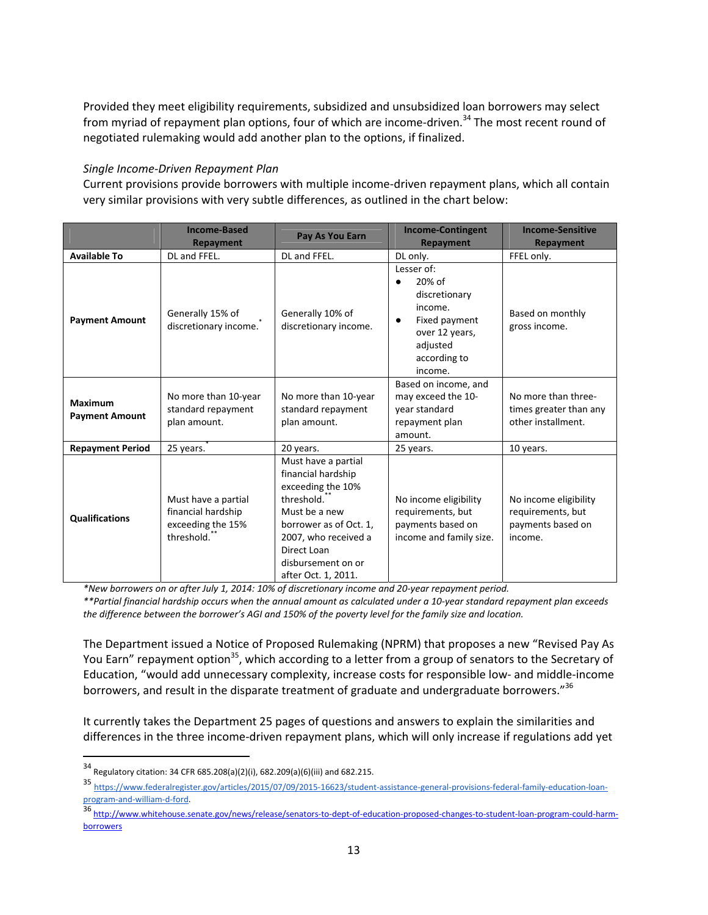Provided they meet eligibility requirements, subsidized and unsubsidized loan borrowers may select from myriad of repayment plan options, four of which are income-driven.<sup>34</sup> The most recent round of negotiated rulemaking would add another plan to the options, if finalized.

### *Single Income‐Driven Repayment Plan*

Current provisions provide borrowers with multiple income‐driven repayment plans, which all contain very similar provisions with very subtle differences, as outlined in the chart below:

|                                         | <b>Income-Based</b><br>Repayment                                             | Pay As You Earn                                                                                                                                                                                                          | <b>Income-Contingent</b><br><b>Repayment</b>                                                                                                         | <b>Income-Sensitive</b><br>Repayment                                       |
|-----------------------------------------|------------------------------------------------------------------------------|--------------------------------------------------------------------------------------------------------------------------------------------------------------------------------------------------------------------------|------------------------------------------------------------------------------------------------------------------------------------------------------|----------------------------------------------------------------------------|
| <b>Available To</b>                     | DL and FFEL.                                                                 | DL and FFEL.                                                                                                                                                                                                             | DL only.                                                                                                                                             | FFEL only.                                                                 |
| <b>Payment Amount</b>                   | Generally 15% of<br>discretionary income.                                    | Generally 10% of<br>discretionary income.                                                                                                                                                                                | Lesser of:<br>20% of<br>$\bullet$<br>discretionary<br>income.<br>Fixed payment<br>$\bullet$<br>over 12 years,<br>adjusted<br>according to<br>income. | Based on monthly<br>gross income.                                          |
| <b>Maximum</b><br><b>Payment Amount</b> | No more than 10-year<br>standard repayment<br>plan amount.                   | No more than 10-year<br>standard repayment<br>plan amount.                                                                                                                                                               | Based on income, and<br>may exceed the 10-<br>year standard<br>repayment plan<br>amount.                                                             | No more than three-<br>times greater than any<br>other installment.        |
| <b>Repayment Period</b>                 | 25 years.                                                                    | 20 years.                                                                                                                                                                                                                | 25 years.                                                                                                                                            | 10 years.                                                                  |
| <b>Qualifications</b>                   | Must have a partial<br>financial hardship<br>exceeding the 15%<br>threshold. | Must have a partial<br>financial hardship<br>exceeding the 10%<br>threshold. <sup>*</sup><br>Must be a new<br>borrower as of Oct. 1,<br>2007, who received a<br>Direct Loan<br>disbursement on or<br>after Oct. 1, 2011. | No income eligibility<br>requirements, but<br>payments based on<br>income and family size.                                                           | No income eligibility<br>requirements, but<br>payments based on<br>income. |

*\*New borrowers on or after July 1, 2014: 10% of discretionary income and 20‐year repayment period.*

\*\*Partial financial hardship occurs when the annual amount as calculated under a 10-year standard repayment plan exceeds the difference between the borrower's AGI and 150% of the poverty level for the family size and location.

The Department issued a Notice of Proposed Rulemaking (NPRM) that proposes a new "Revised Pay As You Earn" repayment option<sup>35</sup>, which according to a letter from a group of senators to the Secretary of Education, "would add unnecessary complexity, increase costs for responsible low‐ and middle‐income borrowers, and result in the disparate treatment of graduate and undergraduate borrowers."<sup>36</sup>

It currently takes the Department 25 pages of questions and answers to explain the similarities and differences in the three income‐driven repayment plans, which will only increase if regulations add yet

<sup>34</sup> Regulatory citation: <sup>34</sup> CFR 685.208(a)(2)(i), 682.209(a)(6)(iii) and 682.215.

<sup>35</sup> https://www.federalregister.gov/articles/2015/07/09/2015-16623/student-assistance-general-provisions-federal-family-education-loanprogram‐and‐william‐d‐ford.

<sup>36 &</sup>lt;u>http://www.whitehouse.senate.gov/news/release/senators‐to‐dept‐of‐education‐proposed‐changes‐to‐student‐loan‐program‐could‐harm‐</u> **borrowers**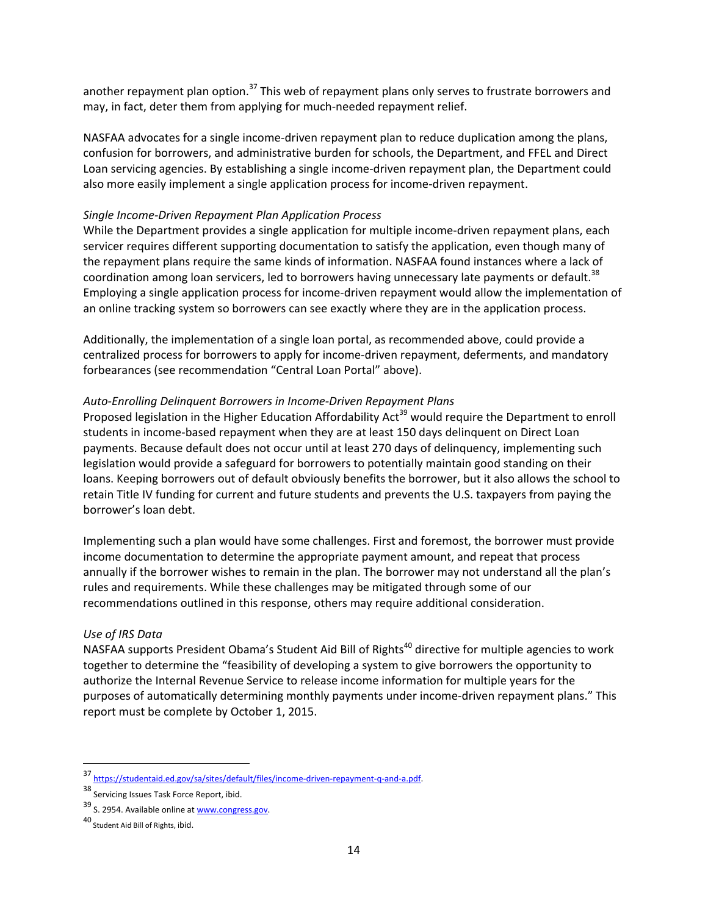another repayment plan option.<sup>37</sup> This web of repayment plans only serves to frustrate borrowers and may, in fact, deter them from applying for much‐needed repayment relief.

NASFAA advocates for a single income‐driven repayment plan to reduce duplication among the plans, confusion for borrowers, and administrative burden for schools, the Department, and FFEL and Direct Loan servicing agencies. By establishing a single income-driven repayment plan, the Department could also more easily implement a single application process for income‐driven repayment.

### *Single Income‐Driven Repayment Plan Application Process*

While the Department provides a single application for multiple income-driven repayment plans, each servicer requires different supporting documentation to satisfy the application, even though many of the repayment plans require the same kinds of information. NASFAA found instances where a lack of coordination among loan servicers, led to borrowers having unnecessary late payments or default.<sup>38</sup> Employing a single application process for income‐driven repayment would allow the implementation of an online tracking system so borrowers can see exactly where they are in the application process.

Additionally, the implementation of a single loan portal, as recommended above, could provide a centralized process for borrowers to apply for income‐driven repayment, deferments, and mandatory forbearances (see recommendation "Central Loan Portal" above).

#### *Auto‐Enrolling Delinquent Borrowers in Income‐Driven Repayment Plans*

Proposed legislation in the Higher Education Affordability Act<sup>39</sup> would require the Department to enroll students in income‐based repayment when they are at least 150 days delinquent on Direct Loan payments. Because default does not occur until at least 270 days of delinquency, implementing such legislation would provide a safeguard for borrowers to potentially maintain good standing on their loans. Keeping borrowers out of default obviously benefits the borrower, but it also allows the school to retain Title IV funding for current and future students and prevents the U.S. taxpayers from paying the borrower's loan debt.

Implementing such a plan would have some challenges. First and foremost, the borrower must provide income documentation to determine the appropriate payment amount, and repeat that process annually if the borrower wishes to remain in the plan. The borrower may not understand all the plan's rules and requirements. While these challenges may be mitigated through some of our recommendations outlined in this response, others may require additional consideration.

#### *Use of IRS Data*

NASFAA supports President Obama's Student Aid Bill of Rights<sup>40</sup> directive for multiple agencies to work together to determine the "feasibility of developing a system to give borrowers the opportunity to authorize the Internal Revenue Service to release income information for multiple years for the purposes of automatically determining monthly payments under income‐driven repayment plans." This report must be complete by October 1, 2015.

<sup>37</sup> https://studentaid.ed.gov/sa/sites/default/files/income-driven-repayment-q-and-a.pdf.

<sup>38</sup> Servicing Issues Task Force Report, ibid.

<sup>39</sup> S. 2954. Available online at www.congress.gov.

<sup>40</sup> Student Aid Bill of Rights, ibid.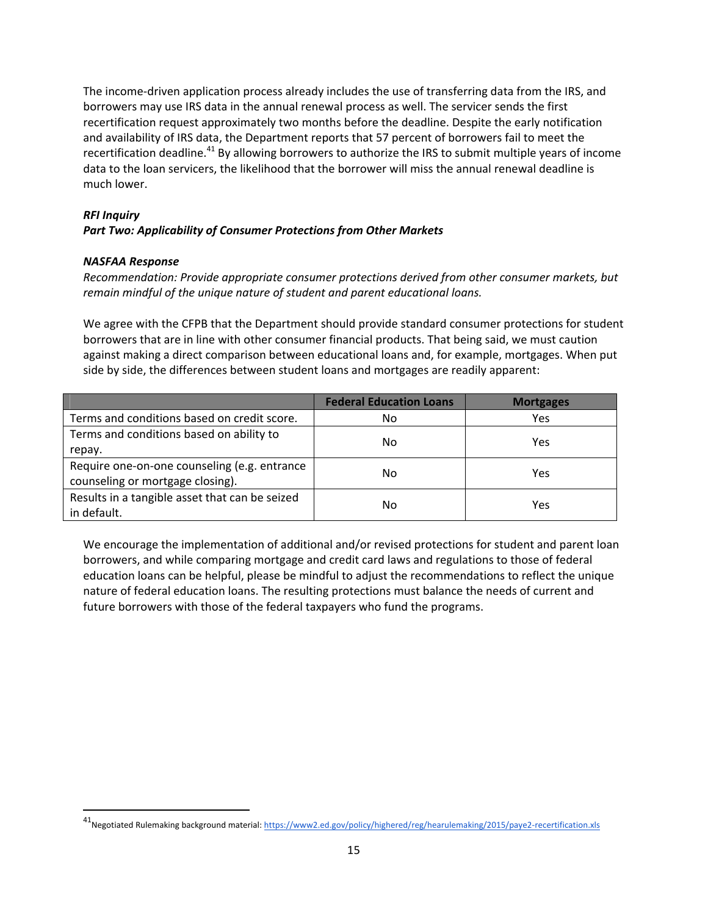The income‐driven application process already includes the use of transferring data from the IRS, and borrowers may use IRS data in the annual renewal process as well. The servicer sends the first recertification request approximately two months before the deadline. Despite the early notification and availability of IRS data, the Department reports that 57 percent of borrowers fail to meet the recertification deadline.<sup>41</sup> By allowing borrowers to authorize the IRS to submit multiple years of income data to the loan servicers, the likelihood that the borrower will miss the annual renewal deadline is much lower.

## *RFI Inquiry*

## *Part Two: Applicability of Consumer Protections from Other Markets*

### *NASFAA Response*

*Recommendation: Provide appropriate consumer protections derived from other consumer markets, but remain mindful of the unique nature of student and parent educational loans.*

We agree with the CFPB that the Department should provide standard consumer protections for student borrowers that are in line with other consumer financial products. That being said, we must caution against making a direct comparison between educational loans and, for example, mortgages. When put side by side, the differences between student loans and mortgages are readily apparent:

|                                                | <b>Federal Education Loans</b> | <b>Mortgages</b> |  |
|------------------------------------------------|--------------------------------|------------------|--|
| Terms and conditions based on credit score.    | No                             | Yes              |  |
| Terms and conditions based on ability to       | No                             | Yes              |  |
| repay.                                         |                                |                  |  |
| Require one-on-one counseling (e.g. entrance   | No                             | Yes              |  |
| counseling or mortgage closing).               |                                |                  |  |
| Results in a tangible asset that can be seized |                                | Yes              |  |
| in default.                                    | No                             |                  |  |

We encourage the implementation of additional and/or revised protections for student and parent loan borrowers, and while comparing mortgage and credit card laws and regulations to those of federal education loans can be helpful, please be mindful to adjust the recommendations to reflect the unique nature of federal education loans. The resulting protections must balance the needs of current and future borrowers with those of the federal taxpayers who fund the programs.

<sup>41&</sup>lt;br>Negotiated Rulemaking background material: https://www2.ed.gov/policy/highered/reg/hearulemaking/2015/paye2-recertification.xls